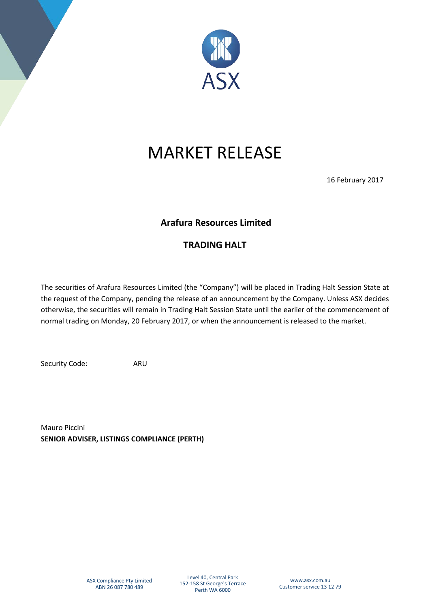

# MARKET RELEASE

16 February 2017

## **Arafura Resources Limited**

## **TRADING HALT**

The securities of Arafura Resources Limited (the "Company") will be placed in Trading Halt Session State at the request of the Company, pending the release of an announcement by the Company. Unless ASX decides otherwise, the securities will remain in Trading Halt Session State until the earlier of the commencement of normal trading on Monday, 20 February 2017, or when the announcement is released to the market.

Security Code: ARU

Mauro Piccini **SENIOR ADVISER, LISTINGS COMPLIANCE (PERTH)**